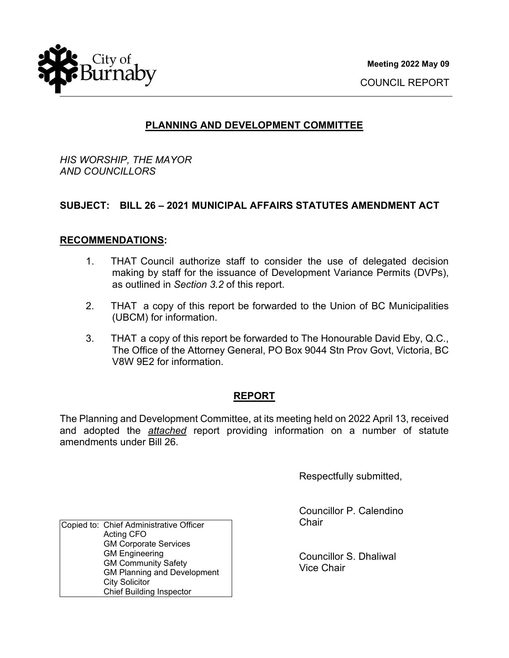

### **PLANNING AND DEVELOPMENT COMMITTEE**

*HIS WORSHIP, THE MAYOR AND COUNCILLORS* 

### **SUBJECT: BILL 26 – 2021 MUNICIPAL AFFAIRS STATUTES AMENDMENT ACT**

#### **RECOMMENDATIONS:**

- 1. THAT Council authorize staff to consider the use of delegated decision making by staff for the issuance of Development Variance Permits (DVPs), as outlined in *Section 3.2* of this report.
- 2. THAT a copy of this report be forwarded to the Union of BC Municipalities (UBCM) for information.
- 3. THAT a copy of this report be forwarded to The Honourable David Eby, Q.C., The Office of the Attorney General, PO Box 9044 Stn Prov Govt, Victoria, BC V8W 9E2 for information.

#### **REPORT**

The Planning and Development Committee, at its meeting held on 2022 April 13, received and adopted the *attached* report providing information on a number of statute amendments under Bill 26.

Respectfully submitted,

Councillor P. Calendino **Chair** 

Councillor S. Dhaliwal Vice Chair

Copied to: Chief Administrative Officer Acting CFO GM Corporate Services GM Engineering GM Community Safety GM Planning and Development City Solicitor Chief Building Inspector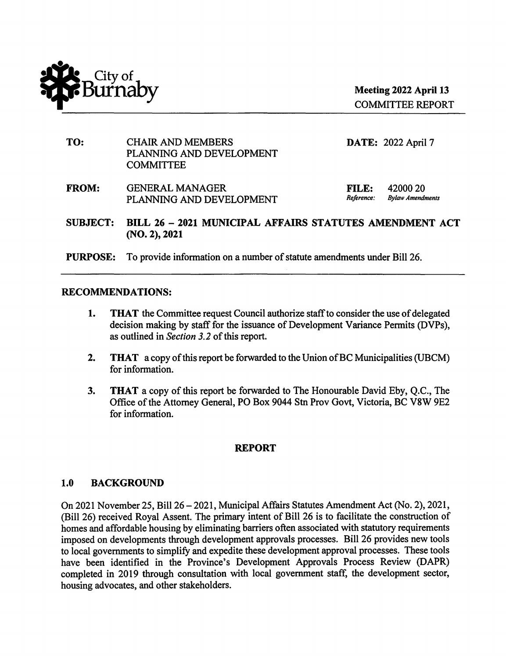

COMMITTEE REPORT

| TO:             | <b>CHAIR AND MEMBERS</b><br>PLANNING AND DEVELOPMENT<br><b>COMMITTEE</b> |                            | <b>DATE: 2022 April 7</b>           |
|-----------------|--------------------------------------------------------------------------|----------------------------|-------------------------------------|
| <b>FROM:</b>    | <b>GENERAL MANAGER</b><br>PLANNING AND DEVELOPMENT                       | <b>FILE:</b><br>Reference: | 42000 20<br><b>Bylaw Amendments</b> |
| <b>SUBJECT:</b> | BILL 26 - 2021 MUNICIPAL AFFAIRS STATUTES AMENDMENT ACT<br>(NO. 2), 2021 |                            |                                     |
| <b>PURPOSE:</b> | To provide information on a number of statute amendments under Bill 26.  |                            |                                     |

# **RECOMMENDATIONS:**

- **1. THAT** the Committee request Council authorize staff to consider the use of delegated decision making by staff for the issuance of Development Variance Permits (DVPs), as outlined in *Section 3.2* of this report.
- **2. THAT** a copy of this report be forwarded to the Union of BC Municipalities (UBCM) for information.
- **3. THAT** a copy of this report be forwarded to The Honourable David Eby, Q.C., The Office of the Attorney General, PO Box 9044 Stn Prov Govt, Victoria, BC V8W 9E2 for information.

#### **REPORT**

#### 1.0 **BACKGROUND**

On 2021 November 25, Bill 26 - 2021, Municipal Affairs Statutes Amendment Act (No. 2), 2021, (Bill 26) received Royal Assent. The primary intent of Bill 26 is to facilitate the construction of homes and affordable housing by eliminating barriers often associated with statutory requirements imposed on developments through development approvals processes. Bill 26 provides new tools to local governments to simplify and expedite these development approval processes. These tools have been identified in the Province's Development Approvals Process Review (DAPR) completed in 2019 through consultation with local government staff, the development sector, housing advocates, and other stakeholders.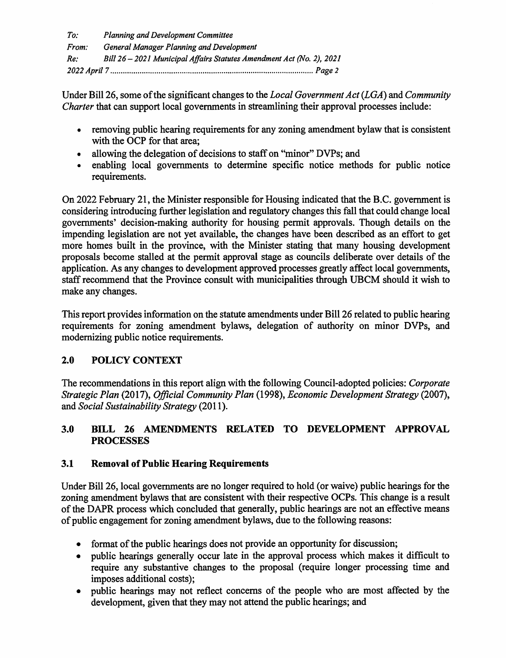*To: Planning and Development Committee From: General Manager Planning and Development Re: Bill 26* - *2021 Municipal Affairs Statutes Amendment Act (No. 2), 2021 2022 April* 7 ................................................................................................. *Page* 2

Under Bill 26, some of the significant changes to the *Local Government Act (LGA)* and *Community Charter* that can support local governments in streamlining their approval processes include:

- removing public hearing requirements for any zoning amendment bylaw that is consistent with the OCP for that area;
- allowing the delegation of decisions to staff on "minor" DVPs; and
- enabling local governments to determine specific notice methods for public notice requirements.

On 2022 February 21, the Minister responsible for Housing indicated that the B.C. government is considering introducing further legislation and regulatory changes this fall that could change local governments' decision-making authority for housing permit approvals. Though details on the impending legislation are not yet available, the changes have been described as an effort to get more homes built in the province, with the Minister stating that many housing development proposals become stalled at the permit approval stage as councils deliberate over details of the application. As any changes to development approved processes greatly affect local governments, staff recommend that the Province consult with municipalities through UBCM should it wish to make any changes.

This report provides information on the statute amendments under Bill 26 related to public hearing requirements for zoning amendment bylaws, delegation of authority on minor DVPs, and modernizing public notice requirements.

# **2.0 POLICY CONTEXT**

The recommendations in this report align with the following Council-adopted policies: *Corporate Strategic Plan* (2017), *Official Community Plan* (1998), *Economic Development Strategy* (2007), and *Social Sustainability Strategy* (2011 ).

# **3.0 BILL 26 AMENDMENTS RELATED TO DEVELOPMENT APPROVAL PROCESSES**

# **3.1 Removal of Public Hearing Requirements**

Under Bill 26, local governments are no longer required to hold ( or waive) public hearings for the zoning amendment bylaws that are consistent with their respective OCPs. This change is a result of the DAPR process which concluded that generally, public hearings are not an effective means of public engagement for zoning amendment bylaws, due to the following reasons:

- format of the public hearings does not provide an opportunity for discussion;
- public hearings generally occur late in the approval process which makes it difficult to require any substantive changes to the proposal (require longer processing time and imposes additional costs);
- public hearings may not reflect concerns of the people who are most affected by the development, given that they may not attend the public hearings; and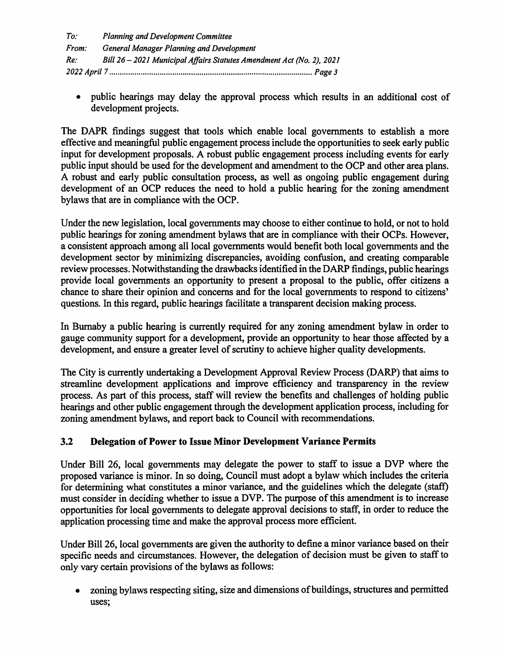| To:   | <b>Planning and Development Committee</b>                             |
|-------|-----------------------------------------------------------------------|
| From: | <b>General Manager Planning and Development</b>                       |
| Re:   | Bill 26 - 2021 Municipal Affairs Statutes Amendment Act (No. 2), 2021 |
|       |                                                                       |

• public hearings may delay the approval process which results in an additional cost of development projects.

The DAPR findings suggest that tools which enable local governments to establish a more effective and meaningful public engagement process include the opportunities to seek early public input for development proposals. A robust public engagement process including events for early public input should be used for the development and amendment to the OCP and other area plans. A robust and early public consultation process, as well as ongoing public engagement during development of an OCP reduces the need to hold a public hearing for the zoning amendment bylaws that are in compliance with the OCP.

Under the new legislation, local governments may choose to either continue to hold, or not to hold public hearings for zoning amendment bylaws that are in compliance with their OCPs. However, a consistent approach among all local governments would benefit both local governments and the development sector by minimizing discrepancies, avoiding confusion, and creating comparable review processes. Notwithstanding the drawbacks identified in the DARP findings, public hearings provide local governments an opportunity to present a proposal to the public, offer citizens a chance to share their opinion and concerns and for the local governments to respond to citizens' questions. In this regard, public hearings facilitate a transparent decision making process.

In Burnaby a public hearing is currently required for any zoning amendment bylaw in order to gauge community support for a development, provide an opportunity to hear those affected by a development, and ensure a greater level of scrutiny to achieve higher quality developments.

The City is currently undertaking a Development Approval Review Process **(DARP)** that aims to streamline development applications and improve efficiency and transparency in the review process. As part of this process, staff will review the benefits and challenges of holding public hearings and other public engagement through the development application process, including for zoning amendment bylaws, and report back to Council with recommendations.

# **3.2 Delegation of Power to Issue Minor Development Variance Permits**

Under Bill 26, local governments may delegate the power to staff to issue a DVP where the proposed variance is minor. In so doing, Council must adopt a bylaw which includes the criteria for determining what constitutes a minor variance, and the guidelines which the delegate (staff) must consider in deciding whether to issue a DVP. The purpose of this amendment is to increase opportunities for local governments to delegate approval decisions to staff, in order to reduce the application processing time and make the approval process more efficient.

Under Bill 26, local governments are given the authority to define a minor variance based on their specific needs and circumstances. However, the delegation of decision must be given to staff to only vary certain provisions of the bylaws as follows:

• zoning bylaws respecting siting, size and dimensions of buildings, structures and permitted uses;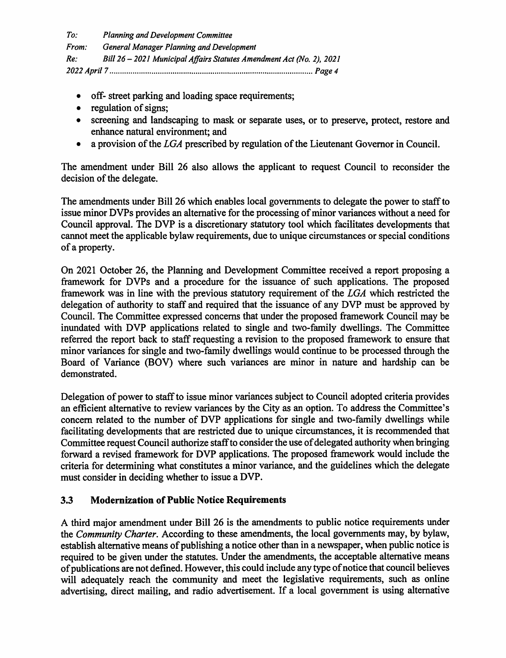*To: Planning and Development Committee From: General Manager Planning and Development Re: Bill 26* - *2021 Municipal Affairs Statutes Amendment Act (No. 2), 2021 2022 April* 7 ................................................................................................. *Page* 4

- off- street parking and loading space requirements;
- regulation of signs:
- screening and landscaping to mask or separate uses, or to preserve, protect, restore and enhance natural environment; and
- a provision of the *LGA* prescribed by regulation of the Lieutenant Governor in Council.

The amendment under Bill 26 also allows the applicant to request Council to reconsider the decision of the delegate.

The amendments under Bill 26 which enables local governments to delegate the power to staff to issue minor DVPs provides an alternative for the processing of minor variances without a need for Council approval. The DVP is a discretionary statutory tool which facilitates developments that cannot meet the applicable bylaw requirements, due to unique circumstances or special conditions of a property.

On 2021 October 26, the Planning and Development Committee received a report proposing a framework for DVPs and a procedure for the issuance of such applications. The proposed framework was in line with the previous statutory requirement of the *LGA* which restricted the delegation of authority to staff and required that the issuance of any DVP must be approved by Council. The Committee expressed concerns that under the proposed framework Council may be inundated with DVP applications related to single and two-family dwellings. The Committee referred the report back to staff requesting a revision to the proposed framework to ensure that minor variances for single and two-family dwellings would continue to be processed through the Board of Variance (BOV) where such variances are minor in nature and hardship can be demonstrated.

Delegation of power to staff to issue minor variances subject to Council adopted criteria provides an efficient alternative to review variances by the City as an option. To address the Committee's concern related to the number of DVP applications for single and two-family dwellings while facilitating developments that are restricted due to unique circumstances, it is recommended that Committee request Council authorize staff to consider the use of delegated authority when bringing forward a revised framework for DVP applications. The proposed framework would include the criteria for determining what constitutes a minor variance, and the guidelines which the delegate must consider in deciding whether to issue a DVP.

#### **3.3 Modernization of Public Notice Requirements**

A third major amendment under Bill 26 is the amendments to public notice requirements under the *Community Charter.* According to these amendments, the local governments may, by bylaw, establish alternative means of publishing a notice other than in a newspaper, when public notice is required to be given under the statutes. Under the amendments, the acceptable alternative means of publications are not defined. However, this could include any type of notice that council believes will adequately reach the community and meet the legislative requirements, such as online advertising, direct mailing, and radio advertisement. If a local government is using alternative